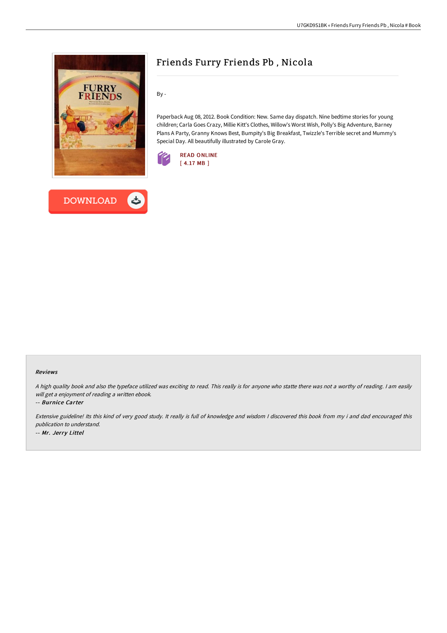



## Friends Furry Friends Pb , Nicola

By -

Paperback Aug 08, 2012. Book Condition: New. Same day dispatch. Nine bedtime stories for young children; Carla Goes Crazy, Millie Kitt's Clothes, Willow's Worst Wish, Polly's Big Adventure, Barney Plans A Party, Granny Knows Best, Bumpity's Big Breakfast, Twizzle's Terrible secret and Mummy's Special Day. All beautifully illustrated by Carole Gray.



## Reviews

<sup>A</sup> high quality book and also the typeface utilized was exciting to read. This really is for anyone who statte there was not <sup>a</sup> worthy of reading. <sup>I</sup> am easily will get <sup>a</sup> enjoyment of reading <sup>a</sup> written ebook.

-- Burnice Carter

Extensive guideline! Its this kind of very good study. It really is full of knowledge and wisdom <sup>I</sup> discovered this book from my i and dad encouraged this publication to understand. -- Mr. Jerry Littel